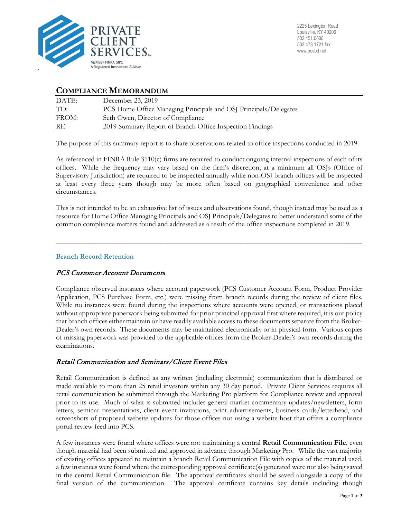

2225 Lexington Road Louisville, KY 40206 502.451.0600 502.473.1721 fax www.pcsbd.net

# **COMPLIANCE MEMORANDUM**

| DATE: | December 23, 2019                                                |
|-------|------------------------------------------------------------------|
| TO:   | PCS Home Office Managing Principals and OSJ Principals/Delegates |
| FROM: | Seth Owen, Director of Compliance                                |
| RE:   | 2019 Summary Report of Branch Office Inspection Findings         |

The purpose of this summary report is to share observations related to office inspections conducted in 2019.

As referenced in FINRA Rule 3110(c) firms are required to conduct ongoing internal inspections of each of its offices. While the frequency may vary based on the firm's discretion, at a minimum all OSJs (Office of Supervisory Jurisdiction) are required to be inspected annually while non-OSJ branch offices will be inspected at least every three years though may be more often based on geographical convenience and other circumstances.

This is not intended to be an exhaustive list of issues and observations found, though instead may be used as a resource for Home Office Managing Principals and OSJ Principals/Delegates to better understand some of the common compliance matters found and addressed as a result of the office inspections completed in 2019.

\_\_\_\_\_\_\_\_\_\_\_\_\_\_\_\_\_\_\_\_\_\_\_\_\_\_\_\_\_\_\_\_\_\_\_\_\_\_\_\_\_\_\_\_\_\_\_\_\_\_\_\_\_\_\_\_\_\_\_\_\_\_\_\_\_\_\_\_\_\_\_\_\_\_\_\_\_\_\_\_\_\_\_\_\_

#### **Branch Record Retention**

### PCS Customer Account Documents

Compliance observed instances where account paperwork (PCS Customer Account Form, Product Provider Application, PCS Purchase Form, etc.) were missing from branch records during the review of client files. While no instances were found during the inspections where accounts were opened, or transactions placed without appropriate paperwork being submitted for prior principal approval first where required, it is our policy that branch offices either maintain or have readily available access to these documents separate from the Broker-Dealer's own records. These documents may be maintained electronically or in physical form. Various copies of missing paperwork was provided to the applicable offices from the Broker-Dealer's own records during the examinations.

### Retail Communication and Seminars/Client Event Files

Retail Communication is defined as any written (including electronic) communication that is distributed or made available to more than 25 retail investors within any 30 day period. Private Client Services requires all retail communication be submitted through the Marketing Pro platform for Compliance review and approval prior to its use. Much of what is submitted includes general market commentary updates/newsletters, form letters, seminar presentations, client event invitations, print advertisements, business cards/letterhead, and screenshots of proposed website updates for those offices not using a website host that offers a compliance portal review feed into PCS.

A few instances were found where offices were not maintaining a central **Retail Communication File**, even though material had been submitted and approved in advance through Marketing Pro. While the vast majority of existing offices appeared to maintain a branch Retail Communication File with copies of the material used, a few instances were found where the corresponding approval certificate(s) generated were not also being saved in the central Retail Communication file. The approval certificates should be saved alongside a copy of the final version of the communication. The approval certificate contains key details including though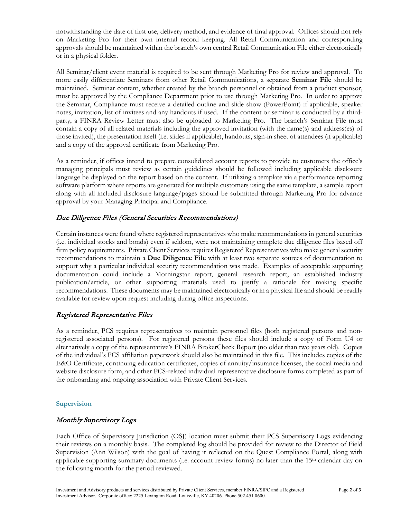notwithstanding the date of first use, delivery method, and evidence of final approval. Offices should not rely on Marketing Pro for their own internal record keeping. All Retail Communication and corresponding approvals should be maintained within the branch's own central Retail Communication File either electronically or in a physical folder.

All Seminar/client event material is required to be sent through Marketing Pro for review and approval. To more easily differentiate Seminars from other Retail Communications, a separate **Seminar File** should be maintained. Seminar content, whether created by the branch personnel or obtained from a product sponsor, must be approved by the Compliance Department prior to use through Marketing Pro. In order to approve the Seminar, Compliance must receive a detailed outline and slide show (PowerPoint) if applicable, speaker notes, invitation, list of invitees and any handouts if used. If the content or seminar is conducted by a thirdparty, a FINRA Review Letter must also be uploaded to Marketing Pro. The branch's Seminar File must contain a copy of all related materials including the approved invitation (with the name(s) and address(es) of those invited), the presentation itself (i.e. slides if applicable), handouts, sign-in sheet of attendees (if applicable) and a copy of the approval certificate from Marketing Pro.

As a reminder, if offices intend to prepare consolidated account reports to provide to customers the office's managing principals must review as certain guidelines should be followed including applicable disclosure language be displayed on the report based on the content. If utilizing a template via a performance reporting software platform where reports are generated for multiple customers using the same template, a sample report along with all included disclosure language/pages should be submitted through Marketing Pro for advance approval by your Managing Principal and Compliance.

## Due Diligence Files (General Securities Recommendations)

Certain instances were found where registered representatives who make recommendations in general securities (i.e. individual stocks and bonds) even if seldom, were not maintaining complete due diligence files based off firm policy requirements. Private Client Services requires Registered Representatives who make general security recommendations to maintain a **Due Diligence File** with at least two separate sources of documentation to support why a particular individual security recommendation was made. Examples of acceptable supporting documentation could include a Morningstar report, general research report, an established industry publication/article, or other supporting materials used to justify a rationale for making specific recommendations. These documents may be maintained electronically or in a physical file and should be readily available for review upon request including during office inspections.

## Registered Representative Files

As a reminder, PCS requires representatives to maintain personnel files (both registered persons and nonregistered associated persons). For registered persons these files should include a copy of Form U4 or alternatively a copy of the representative's FINRA BrokerCheck Report (no older than two years old). Copies of the individual's PCS affiliation paperwork should also be maintained in this file. This includes copies of the E&O Certificate, continuing education certificates, copies of annuity/insurance licenses, the social media and website disclosure form, and other PCS-related individual representative disclosure forms completed as part of the onboarding and ongoing association with Private Client Services.

### **Supervision**

## Monthly Supervisory Logs

Each Office of Supervisory Jurisdiction (OSJ) location must submit their PCS Supervisory Logs evidencing their reviews on a monthly basis. The completed log should be provided for review to the Director of Field Supervision (Ann Wilson) with the goal of having it reflected on the Quest Compliance Portal, along with applicable supporting summary documents (i.e. account review forms) no later than the  $15<sup>th</sup>$  calendar day on the following month for the period reviewed.